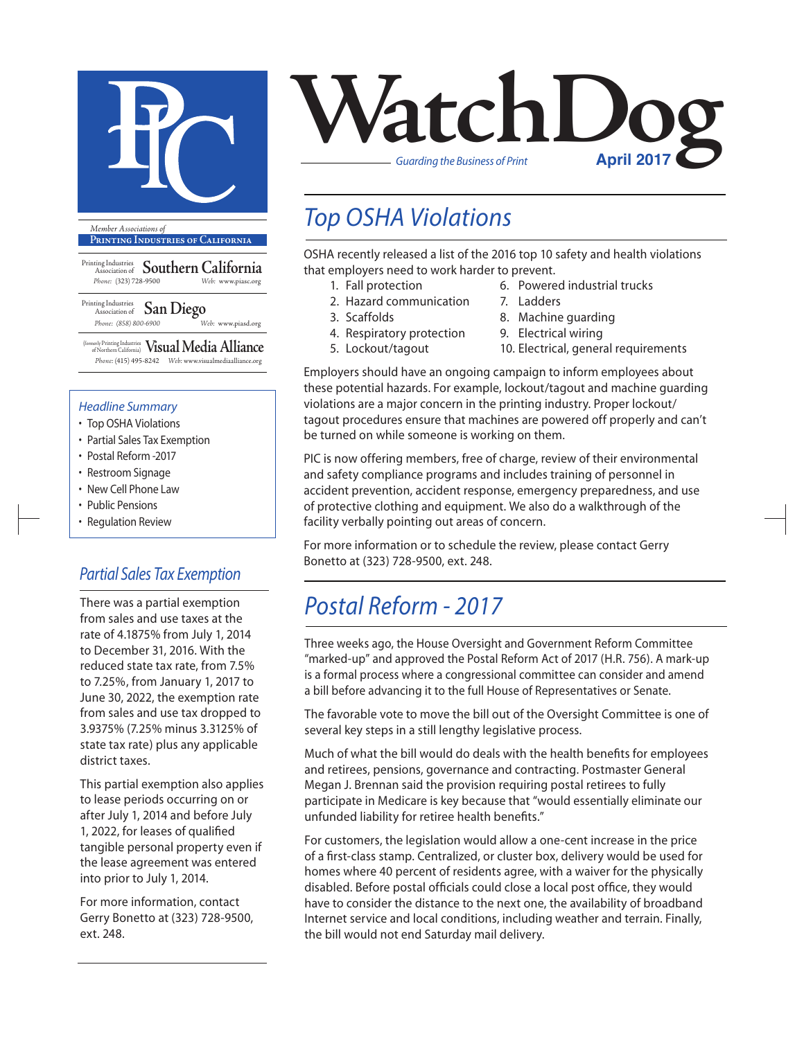

**Printing Industries of California**

Printing Industries Association of **Southern California** *Phone:* (323) 728-9500 *Web:* www.piasc.org

Printing Industries Association of **San Diego** *Phone: (858) 800-6900 Web:* www.piasd.org

(formerly Printing Industries of Northern California) **Visual Media Alliance** *Phone:* (415) 495-8242 *Web:* www.visualmediaalliance.org

#### *Headline Summary*

- Top OSHA Violations
- Partial Sales Tax Exemption
- Postal Reform -2017
- Restroom Signage
- New Cell Phone Law
- Public Pensions
- Regulation Review

#### *Partial Sales Tax Exemption*

There was a partial exemption from sales and use taxes at the rate of 4.1875% from July 1, 2014 to December 31, 2016. With the reduced state tax rate, from 7.5% to 7.25%, from January 1, 2017 to June 30, 2022, the exemption rate from sales and use tax dropped to 3.9375% (7.25% minus 3.3125% of state tax rate) plus any applicable district taxes.

This partial exemption also applies to lease periods occurring on or after July 1, 2014 and before July 1, 2022, for leases of qualified tangible personal property even if the lease agreement was entered into prior to July 1, 2014.

For more information, contact Gerry Bonetto at (323) 728-9500, ext. 248.



### *Top OSHA Violations*

OSHA recently released a list of the 2016 top 10 safety and health violations that employers need to work harder to prevent.

- 1. Fall protection
- 2. Hazard communication
- 3. Scaffolds
- 4. Respiratory protection
- 5. Lockout/tagout
	-
- 6. Powered industrial trucks
- 7. Ladders
- 8. Machine guarding
- 9. Electrical wiring
- 10. Electrical, general requirements

Employers should have an ongoing campaign to inform employees about these potential hazards. For example, lockout/tagout and machine guarding violations are a major concern in the printing industry. Proper lockout/ tagout procedures ensure that machines are powered off properly and can't be turned on while someone is working on them.

PIC is now offering members, free of charge, review of their environmental and safety compliance programs and includes training of personnel in accident prevention, accident response, emergency preparedness, and use of protective clothing and equipment. We also do a walkthrough of the facility verbally pointing out areas of concern.

For more information or to schedule the review, please contact Gerry Bonetto at (323) 728-9500, ext. 248.

### *Postal Reform - 2017*

Three weeks ago, the House Oversight and Government Reform Committee "marked-up" and approved the Postal Reform Act of 2017 (H.R. 756). A mark-up is a formal process where a congressional committee can consider and amend a bill before advancing it to the full House of Representatives or Senate.

The favorable vote to move the bill out of the Oversight Committee is one of several key steps in a still lengthy legislative process.

Much of what the bill would do deals with the health benefits for employees and retirees, pensions, governance and contracting. Postmaster General Megan J. Brennan said the provision requiring postal retirees to fully participate in Medicare is key because that "would essentially eliminate our unfunded liability for retiree health benefits."

For customers, the legislation would allow a one-cent increase in the price of a first-class stamp. Centralized, or cluster box, delivery would be used for homes where 40 percent of residents agree, with a waiver for the physically disabled. Before postal officials could close a local post office, they would have to consider the distance to the next one, the availability of broadband Internet service and local conditions, including weather and terrain. Finally, the bill would not end Saturday mail delivery.